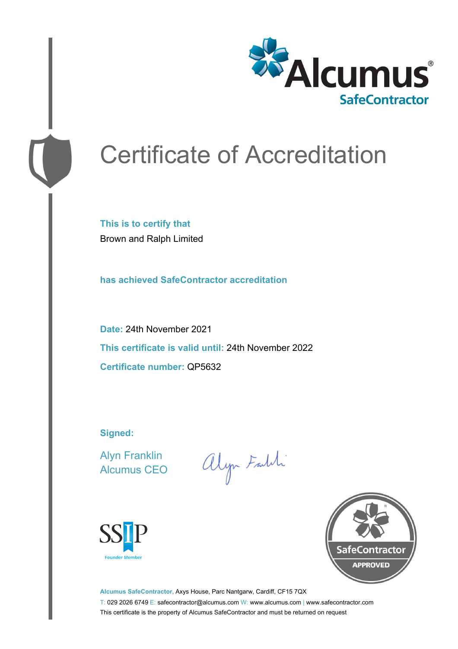

# Certificate of Accreditation

**This is to certify that** Brown and Ralph Limited

**has achieved SafeContractor accreditation**

**Date:** 24th November 2021 **This certificate is valid until:** 24th November 2022 **Certificate number:** QP5632

**Signed:**

Alyn Franklin Alcumus CEO

alyn Faith





**Alcumus SafeContractor,** Axys House, Parc Nantgarw, Cardiff, CF15 7QX T: 029 2026 6749 E: safecontractor@alcumus.com W: www.alcumus.com | www.safecontractor.com This certificate is the property of Alcumus SafeContractor and must be returned on request